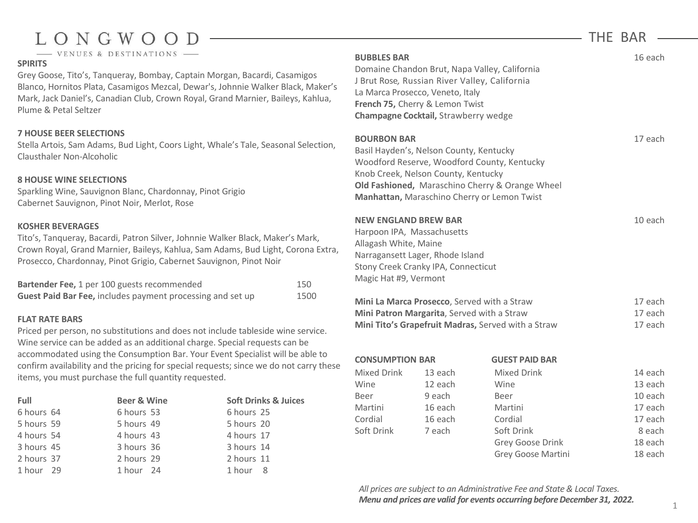# LONGWO

- VENUES & DESTINATIONS

## **SPIRITS**

Grey Goose, Tito's, Tanqueray, Bombay, Captain Morgan, Bacardi, Casamigos Blanco, Hornitos Plata, Casamigos Mezcal, Dewar's, Johnnie Walker Black, Maker's Mark, Jack Daniel's, Canadian Club, Crown Royal, Grand Marnier, Baileys, Kahlua, Plume & Petal Seltzer

### **7 HOUSE BEER SELECTIONS**

Stella Artois, Sam Adams, Bud Light, Coors Light, Whale's Tale, Seasonal Selection, Clausthaler Non-Alcoholic

### **8 HOUSE WINE SELECTIONS**

Sparkling Wine, Sauvignon Blanc, Chardonnay, Pinot Grigio Cabernet Sauvignon, Pinot Noir, Merlot, Rose

#### **KOSHER BEVERAGES**

Tito's, Tanqueray, Bacardi, Patron Silver, Johnnie Walker Black, Maker's Mark, Crown Royal, Grand Marnier, Baileys, Kahlua, Sam Adams, Bud Light, Corona Extra, Prosecco, Chardonnay, Pinot Grigio, Cabernet Sauvignon, Pinot Noir

| Bartender Fee, 1 per 100 guests recommended                       | 150  |
|-------------------------------------------------------------------|------|
| <b>Guest Paid Bar Fee, includes payment processing and set up</b> | 1500 |

#### **FLAT RATE BARS**

Priced per person, no substitutions and does not include tableside wine service. Wine service can be added as an additional charge. Special requests can be accommodated using the Consumption Bar. Your Event Specialist will be able to confirm availability and the pricing for special requests; since we do not carry these items, you must purchase the full quantity requested.

| Full       | <b>Beer &amp; Wine</b> |            | <b>Soft Drinks &amp; Juices</b> |
|------------|------------------------|------------|---------------------------------|
| 6 hours 64 | 6 hours 53             | 6 hours 25 |                                 |
| 5 hours 59 | 5 hours 49             | 5 hours 20 |                                 |
| 4 hours 54 | 4 hours 43             | 4 hours 17 |                                 |
| 3 hours 45 | 3 hours 36             | 3 hours 14 |                                 |
| 2 hours 37 | 2 hours 29             | 2 hours 11 |                                 |
| 1 hour 29  | 1 hour 24              | 1 hour 8   |                                 |

| <b>BUBBLES BAR</b>                                                            | J Brut Rose, Russian River Valley, California<br>La Marca Prosecco, Veneto, Italy<br><b>French 75, Cherry &amp; Lemon Twist</b><br>Champagne Cocktail, Strawberry wedge | Domaine Chandon Brut, Napa Valley, California                                                                                                 |         | 16 each |
|-------------------------------------------------------------------------------|-------------------------------------------------------------------------------------------------------------------------------------------------------------------------|-----------------------------------------------------------------------------------------------------------------------------------------------|---------|---------|
| <b>BOURBON BAR</b>                                                            | Basil Hayden's, Nelson County, Kentucky<br>Knob Creek, Nelson County, Kentucky                                                                                          | Woodford Reserve, Woodford County, Kentucky<br>Old Fashioned, Maraschino Cherry & Orange Wheel<br>Manhattan, Maraschino Cherry or Lemon Twist |         | 17 each |
| <b>NEW ENGLAND BREW BAR</b><br>Allagash White, Maine<br>Magic Hat #9, Vermont | Harpoon IPA, Massachusetts<br>Narragansett Lager, Rhode Island<br>Stony Creek Cranky IPA, Connecticut                                                                   |                                                                                                                                               |         | 10 each |
|                                                                               | Mini La Marca Prosecco, Served with a Straw                                                                                                                             |                                                                                                                                               |         | 17 each |
| Mini Patron Margarita, Served with a Straw                                    |                                                                                                                                                                         |                                                                                                                                               | 17 each |         |
|                                                                               |                                                                                                                                                                         | Mini Tito's Grapefruit Madras, Served with a Straw                                                                                            |         | 17 each |
| <b>CONSUMPTION BAR</b>                                                        |                                                                                                                                                                         | <b>GUEST PAID BAR</b>                                                                                                                         |         |         |
| Mixed Drink                                                                   | 13 each                                                                                                                                                                 | <b>Mixed Drink</b>                                                                                                                            |         | 14 each |
| Wine                                                                          | 12 each                                                                                                                                                                 | Wine                                                                                                                                          |         | 13 each |
| Beer                                                                          | 9 each                                                                                                                                                                  | Beer                                                                                                                                          |         | 10 each |
| Martini                                                                       | 16 each                                                                                                                                                                 | Martini                                                                                                                                       |         | 17 each |
| Cordial                                                                       | 16 each                                                                                                                                                                 | Cordial                                                                                                                                       |         | 17 each |

*All prices are subject to an Administrative Fee and State& Local Taxes. Menu and prices are valid for events occurring before December 31, 2022.* 

Soft Drink 7 each Soft Drink 8 each 8 each

Grey Goose Drink 18 each Grey Goose Martini 18 each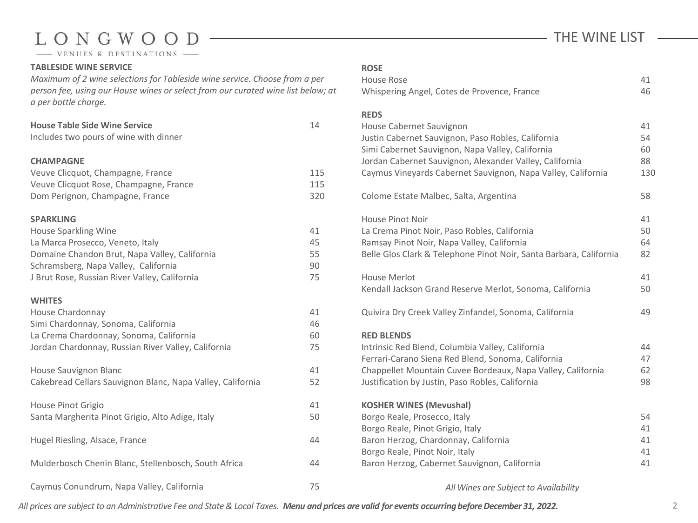# LONGWOO D

- VENUES & DESTINATIONS

#### **TABLESIDE WINE SERVICE**

*Maximum of 2 wine selections for Tableside wine service. Choose from a per person fee, using our House wines or select from our curated wine list below; at a per bottle charge.* 

| <b>House Table Side Wine Service</b><br>Includes two pours of wine with dinner                                                                                                                                         | 14                         |
|------------------------------------------------------------------------------------------------------------------------------------------------------------------------------------------------------------------------|----------------------------|
| <b>CHAMPAGNE</b><br>Veuve Clicquot, Champagne, France<br>Veuve Clicquot Rose, Champagne, France<br>Dom Perignon, Champagne, France                                                                                     | 115<br>115<br>320          |
| <b>SPARKLING</b><br>House Sparkling Wine<br>La Marca Prosecco, Veneto, Italy<br>Domaine Chandon Brut, Napa Valley, California<br>Schramsberg, Napa Valley, California<br>J Brut Rose, Russian River Valley, California | 41<br>45<br>55<br>90<br>75 |
| <b>WHITES</b><br>House Chardonnay<br>Simi Chardonnay, Sonoma, California<br>La Crema Chardonnay, Sonoma, California<br>Jordan Chardonnay, Russian River Valley, California                                             | 41<br>46<br>60<br>75       |
| House Sauvignon Blanc<br>Cakebread Cellars Sauvignon Blanc, Napa Valley, California                                                                                                                                    | 41<br>52                   |
| House Pinot Grigio<br>Santa Margherita Pinot Grigio, Alto Adige, Italy                                                                                                                                                 | 41<br>50                   |
| Hugel Riesling, Alsace, France                                                                                                                                                                                         | 44                         |
| Mulderbosch Chenin Blanc, Stellenbosch, South Africa                                                                                                                                                                   | 44                         |
| Caymus Conundrum, Napa Valley, California                                                                                                                                                                              | 75                         |

# THE WINE LIST

| <b>ROSE</b> |  |
|-------------|--|
| House Rose  |  |

| House Rose<br>Whispering Angel, Cotes de Provence, France                                                                                                                                                                                                                    | 41<br>46                    |
|------------------------------------------------------------------------------------------------------------------------------------------------------------------------------------------------------------------------------------------------------------------------------|-----------------------------|
| <b>REDS</b><br>House Cabernet Sauvignon<br>Justin Cabernet Sauvignon, Paso Robles, California<br>Simi Cabernet Sauvignon, Napa Valley, California<br>Jordan Cabernet Sauvignon, Alexander Valley, California<br>Caymus Vineyards Cabernet Sauvignon, Napa Valley, California | 41<br>54<br>60<br>88<br>130 |
| Colome Estate Malbec, Salta, Argentina                                                                                                                                                                                                                                       | 58                          |
| <b>House Pinot Noir</b><br>La Crema Pinot Noir, Paso Robles, California<br>Ramsay Pinot Noir, Napa Valley, California<br>Belle Glos Clark & Telephone Pinot Noir, Santa Barbara, California                                                                                  | 41<br>50<br>64<br>82        |
| <b>House Merlot</b><br>Kendall Jackson Grand Reserve Merlot, Sonoma, California                                                                                                                                                                                              | 41<br>50                    |
| Quivira Dry Creek Valley Zinfandel, Sonoma, California                                                                                                                                                                                                                       | 49                          |
| <b>RED BLENDS</b><br>Intrinsic Red Blend, Columbia Valley, California<br>Ferrari-Carano Siena Red Blend, Sonoma, California<br>Chappellet Mountain Cuvee Bordeaux, Napa Valley, California<br>Justification by Justin, Paso Robles, California                               | 44<br>47<br>62<br>98        |
| <b>KOSHER WINES (Mevushal)</b><br>Borgo Reale, Prosecco, Italy<br>Borgo Reale, Pinot Grigio, Italy<br>Baron Herzog, Chardonnay, California<br>Borgo Reale, Pinot Noir, Italy<br>Baron Herzog, Cabernet Sauvignon, California                                                 | 54<br>41<br>41<br>41<br>41  |

*All Wines are Subject to Availability*

All prices are subject to an Administrative Fee and State & Local Taxes. Menu and prices are valid for events occurring before December 31, 2022.